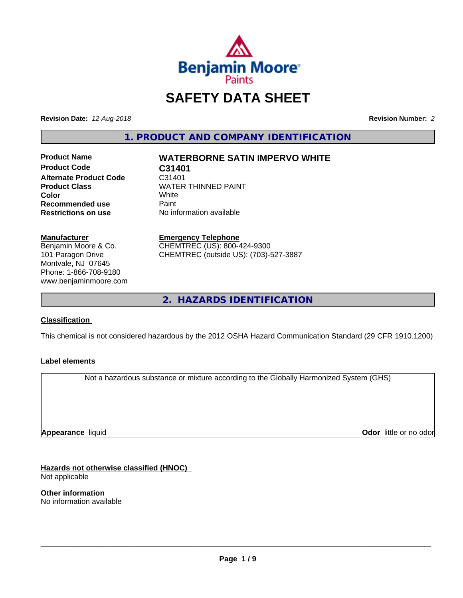

# **SAFETY DATA SHEET**

**Revision Date:** *12-Aug-2018* **Revision Number:** *2*

**1. PRODUCT AND COMPANY IDENTIFICATION**

**Product Name WATERBORNE SATIN IMPERVO WHITE Product Code C31401 Alternate Product Code C31401<br>Product Class Carry Carry WATER Recommended use** Paint<br> **Restrictions on use** No inf

**WATER THINNED PAINT**<br>White **Color** White White **No information available** 

**Manufacturer** Benjamin Moore & Co. 101 Paragon Drive Montvale, NJ 07645 Phone: 1-866-708-9180 www.benjaminmoore.com

### **Emergency Telephone**

CHEMTREC (US): 800-424-9300 CHEMTREC (outside US): (703)-527-3887

**2. HAZARDS IDENTIFICATION**

### **Classification**

This chemical is not considered hazardous by the 2012 OSHA Hazard Communication Standard (29 CFR 1910.1200)

### **Label elements**

Not a hazardous substance or mixture according to the Globally Harmonized System (GHS)

**Appearance** liquid

**Odor** little or no odor

**Hazards not otherwise classified (HNOC)** Not applicable

**Other information** No information available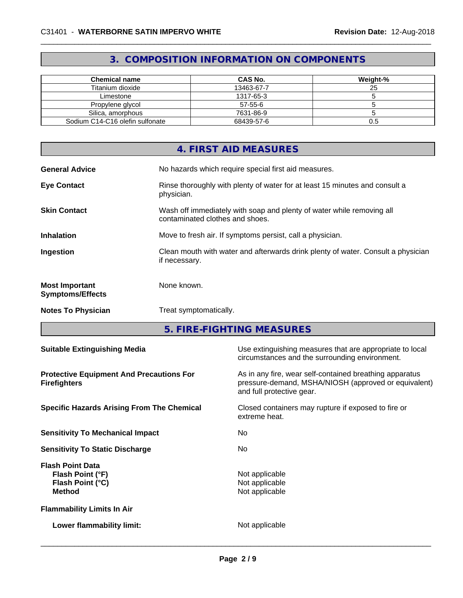## **3. COMPOSITION INFORMATION ON COMPONENTS**

| Chemical name                   | <b>CAS No.</b> | Weight-% |
|---------------------------------|----------------|----------|
| Titanium dioxide                | 13463-67-7     | 25       |
| Limestone                       | 1317-65-3      |          |
| Propylene glycol                | 57-55-6        |          |
| Silica, amorphous               | 7631-86-9      |          |
| Sodium C14-C16 olefin sulfonate | 68439-57-6     | U.O      |

|                                                  | 4. FIRST AID MEASURES                                                                                    |
|--------------------------------------------------|----------------------------------------------------------------------------------------------------------|
| <b>General Advice</b>                            | No hazards which require special first aid measures.                                                     |
| <b>Eye Contact</b>                               | Rinse thoroughly with plenty of water for at least 15 minutes and consult a<br>physician.                |
| <b>Skin Contact</b>                              | Wash off immediately with soap and plenty of water while removing all<br>contaminated clothes and shoes. |
| <b>Inhalation</b>                                | Move to fresh air. If symptoms persist, call a physician.                                                |
| Ingestion                                        | Clean mouth with water and afterwards drink plenty of water. Consult a physician<br>if necessary.        |
| <b>Most Important</b><br><b>Symptoms/Effects</b> | None known.                                                                                              |
| <b>Notes To Physician</b>                        | Treat symptomatically.                                                                                   |

**5. FIRE-FIGHTING MEASURES**

| <b>Suitable Extinguishing Media</b>                                              | Use extinguishing measures that are appropriate to local<br>circumstances and the surrounding environment.                                   |
|----------------------------------------------------------------------------------|----------------------------------------------------------------------------------------------------------------------------------------------|
| <b>Protective Equipment And Precautions For</b><br><b>Firefighters</b>           | As in any fire, wear self-contained breathing apparatus<br>pressure-demand, MSHA/NIOSH (approved or equivalent)<br>and full protective gear. |
| <b>Specific Hazards Arising From The Chemical</b>                                | Closed containers may rupture if exposed to fire or<br>extreme heat.                                                                         |
| <b>Sensitivity To Mechanical Impact</b>                                          | No.                                                                                                                                          |
| <b>Sensitivity To Static Discharge</b>                                           | No                                                                                                                                           |
| <b>Flash Point Data</b><br>Flash Point (°F)<br>Flash Point (°C)<br><b>Method</b> | Not applicable<br>Not applicable<br>Not applicable                                                                                           |
| <b>Flammability Limits In Air</b>                                                |                                                                                                                                              |
| Lower flammability limit:                                                        | Not applicable                                                                                                                               |
|                                                                                  |                                                                                                                                              |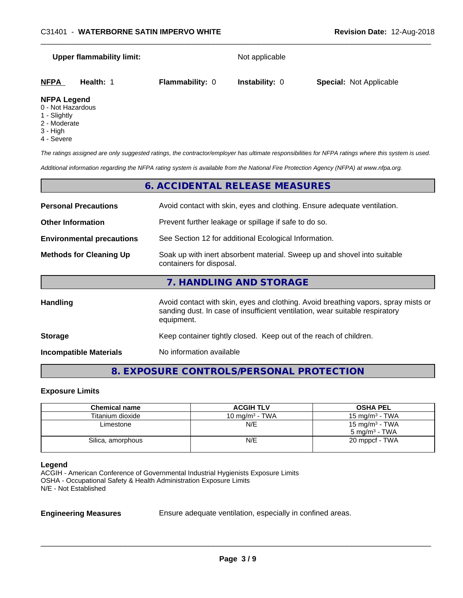| <b>Upper flammability limit:</b> |                        | Not applicable        |                                |  |  |
|----------------------------------|------------------------|-----------------------|--------------------------------|--|--|
| <b>NFPA</b><br><b>Health: 1</b>  | <b>Flammability: 0</b> | <b>Instability: 0</b> | <b>Special: Not Applicable</b> |  |  |
| <b>NFPA Legend</b>               |                        |                       |                                |  |  |

- 0 Not Hazardous
- 1 Slightly
- 2 Moderate
- 
- 3 High
- 4 Severe

*The ratings assigned are only suggested ratings, the contractor/employer has ultimate responsibilities for NFPA ratings where this system is used.*

*Additional information regarding the NFPA rating system is available from the National Fire Protection Agency (NFPA) at www.nfpa.org.*

|                                                                                           | 6. ACCIDENTAL RELEASE MEASURES                                                                                                                                                   |
|-------------------------------------------------------------------------------------------|----------------------------------------------------------------------------------------------------------------------------------------------------------------------------------|
| <b>Personal Precautions</b>                                                               | Avoid contact with skin, eyes and clothing. Ensure adequate ventilation.                                                                                                         |
| <b>Other Information</b>                                                                  | Prevent further leakage or spillage if safe to do so.                                                                                                                            |
| See Section 12 for additional Ecological Information.<br><b>Environmental precautions</b> |                                                                                                                                                                                  |
| <b>Methods for Cleaning Up</b>                                                            | Soak up with inert absorbent material. Sweep up and shovel into suitable<br>containers for disposal.                                                                             |
|                                                                                           | 7. HANDLING AND STORAGE                                                                                                                                                          |
| Handling                                                                                  | Avoid contact with skin, eyes and clothing. Avoid breathing vapors, spray mists or<br>sanding dust. In case of insufficient ventilation, wear suitable respiratory<br>equipment. |
| <b>Storage</b>                                                                            | Keep container tightly closed. Keep out of the reach of children.                                                                                                                |
| <b>Incompatible Materials</b>                                                             | No information available                                                                                                                                                         |

### **8. EXPOSURE CONTROLS/PERSONAL PROTECTION**

### **Exposure Limits**

| <b>Chemical name</b> | <b>ACGIH TLV</b>           | <b>OSHA PEL</b>            |
|----------------------|----------------------------|----------------------------|
| Titanium dioxide     | 10 mg/m <sup>3</sup> - TWA | 15 mg/m $3$ - TWA          |
| Limestone            | N/E                        | 15 mg/m <sup>3</sup> - TWA |
|                      |                            | $5 \text{ ma/m}^3$ - TWA   |
| Silica, amorphous    | N/E                        | 20 mppcf - TWA             |
|                      |                            |                            |

### **Legend**

ACGIH - American Conference of Governmental Industrial Hygienists Exposure Limits OSHA - Occupational Safety & Health Administration Exposure Limits N/E - Not Established

**Engineering Measures** Ensure adequate ventilation, especially in confined areas.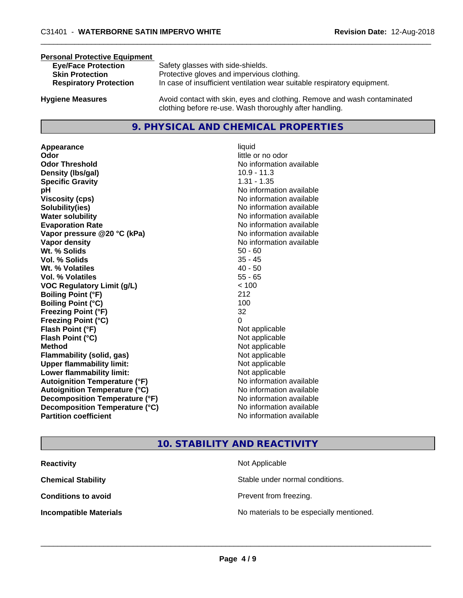### **Personal Protective Equipment**

| <b>Eye/Face Protection</b>    | Safety glasses with side-shields.                                        |
|-------------------------------|--------------------------------------------------------------------------|
| <b>Skin Protection</b>        | Protective gloves and impervious clothing.                               |
| <b>Respiratory Protection</b> | In case of insufficient ventilation wear suitable respiratory equipment. |
|                               |                                                                          |

**Hygiene Measures** Avoid contact with skin, eyes and clothing. Remove and wash contaminated clothing before re-use. Wash thoroughly after handling.

### **9. PHYSICAL AND CHEMICAL PROPERTIES**

**Appearance** liquid **Odor** little or no odor **Odor Threshold No information available No information available Density (Ibs/gal)** 10.9 - 11.3 **Specific Gravity** 1.31 - 1.35 **pH** No information available **Viscosity (cps)** No information available **Solubility(ies)** No information available **Water solubility Water solubility Water solubility Water solubility Water solubility Water solution Evaporation Rate No information available No information available Vapor pressure @20 °C (kPa)** No information available **Vapor density No information available Wt.** % Solids 50 - 60 **Vol. % Solids** 35 - 45 **Wt. % Volatiles** 40 - 50 **Vol. % Volatiles** 55 - 65 **VOC Regulatory Limit (g/L)** < 100 **Boiling Point (°F)** 212 **Boiling Point (°C)** 100 **Freezing Point (°F)** 32 **Freezing Point (°C)** 0 **Flash Point (°F)** Not applicable **Flash Point (°C)** Not applicable **Method** Not applicable **Flammability (solid, gas)** Not applicable **Upper flammability limit:** Not applicable **Lower flammability limit:** Not applicable **Autoignition Temperature (°F)** No information available **Autoignition Temperature (°C)** No information available **Decomposition Temperature (°F)** No information available **Decomposition Temperature (°C)**<br> **Partition coefficient Partition coefficient 1 Partition available No information available** 

# **No information available**

### **10. STABILITY AND REACTIVITY**

| <b>Reactivity</b>             | Not Applicable                           |
|-------------------------------|------------------------------------------|
| <b>Chemical Stability</b>     | Stable under normal conditions.          |
| <b>Conditions to avoid</b>    | Prevent from freezing.                   |
| <b>Incompatible Materials</b> | No materials to be especially mentioned. |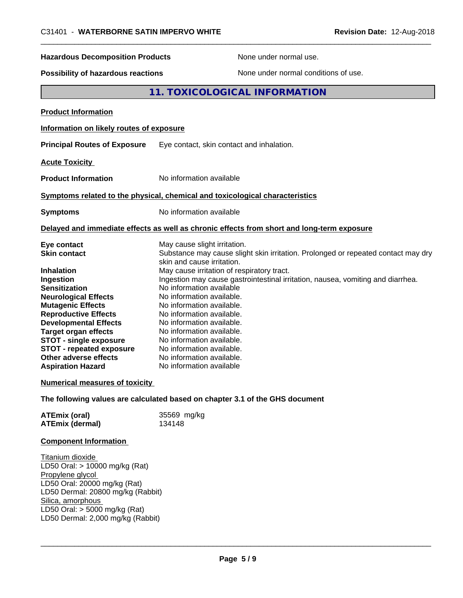# \_\_\_\_\_\_\_\_\_\_\_\_\_\_\_\_\_\_\_\_\_\_\_\_\_\_\_\_\_\_\_\_\_\_\_\_\_\_\_\_\_\_\_\_\_\_\_\_\_\_\_\_\_\_\_\_\_\_\_\_\_\_\_\_\_\_\_\_\_\_\_\_\_\_\_\_\_\_\_\_\_\_\_\_\_\_\_\_\_\_\_\_\_ C31401 - **WATERBORNE SATIN IMPERVO WHITE Revision Date:** 12-Aug-2018 **Hazardous Decomposition Products** None under normal use. **Possibility of hazardous reactions** None under normal conditions of use. **11. TOXICOLOGICAL INFORMATION Product Information Information on likely routes of exposure Principal Routes of Exposure** Eye contact, skin contact and inhalation. **Acute Toxicity Product Information** No information available **Symptoms related to the physical,chemical and toxicological characteristics Symptoms** No information available **Delayed and immediate effects as well as chronic effects from short and long-term exposure Eye contact** May cause slight irritation. **Skin contact** Substance may cause slight skin irritation. Prolonged or repeated contact may dry skin and cause irritation. **Inhalation** May cause irritation of respiratory tract. **Ingestion Ingestion may cause gastrointestinal irritation**, nausea, vomiting and diarrhea. **Sensitization** No information available **Neurological Effects** No information available. **Mutagenic Effects** No information available. **Reproductive Effects** No information available. **Developmental Effects** No information available. **Target organ effects** No information available.

**STOT** - single exposure No information available. **STOT - repeated exposure** No information available. **Other adverse effects** No information available. **Aspiration Hazard** No information available

### **Numerical measures of toxicity**

**The following values are calculated based on chapter 3.1 of the GHS document**

| <b>ATEmix (oral)</b>   | 35569 mg/kg |
|------------------------|-------------|
| <b>ATEmix (dermal)</b> | 134148      |

### **Component Information**

Titanium dioxide LD50 Oral: > 10000 mg/kg (Rat) Propylene glycol LD50 Oral: 20000 mg/kg (Rat) LD50 Dermal: 20800 mg/kg (Rabbit) Silica, amorphous LD50 Oral: > 5000 mg/kg (Rat) LD50 Dermal: 2,000 mg/kg (Rabbit)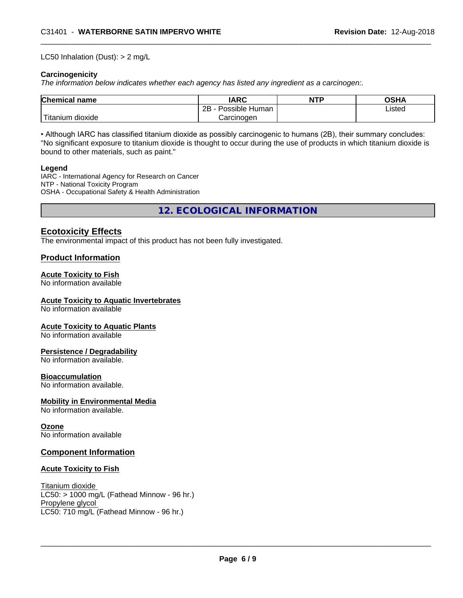### LC50 Inhalation (Dust): > 2 mg/L

### **Carcinogenicity**

*The information below indicateswhether each agency has listed any ingredient as a carcinogen:.*

| <b>Chemical name</b>                    | <b>IARC</b>               | <b>NTP</b> | <b>OSHA</b> |
|-----------------------------------------|---------------------------|------------|-------------|
|                                         | .<br>2B<br>Possible Human |            | Listed      |
| والمتعاصر المراد<br>dioxide<br>Titanium | Carcinogen                |            |             |

• Although IARC has classified titanium dioxide as possibly carcinogenic to humans (2B), their summary concludes: "No significant exposure to titanium dioxide is thought to occur during the use of products in which titanium dioxide is bound to other materials, such as paint."

### **Legend**

IARC - International Agency for Research on Cancer NTP - National Toxicity Program OSHA - Occupational Safety & Health Administration

**12. ECOLOGICAL INFORMATION**

### **Ecotoxicity Effects**

The environmental impact of this product has not been fully investigated.

### **Product Information**

### **Acute Toxicity to Fish**

No information available

### **Acute Toxicity to Aquatic Invertebrates**

No information available

### **Acute Toxicity to Aquatic Plants**

No information available

### **Persistence / Degradability**

No information available.

### **Bioaccumulation**

No information available.

### **Mobility in Environmental Media**

No information available.

### **Ozone**

No information available

### **Component Information**

### **Acute Toxicity to Fish**

Titanium dioxide  $LC50:$  > 1000 mg/L (Fathead Minnow - 96 hr.) Propylene glycol LC50: 710 mg/L (Fathead Minnow - 96 hr.)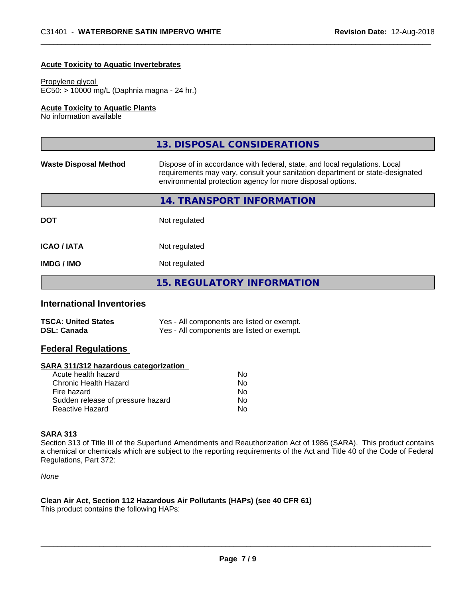### **Acute Toxicity to Aquatic Invertebrates**

### Propylene glycol

EC50: > 10000 mg/L (Daphnia magna - 24 hr.)

### **Acute Toxicity to Aquatic Plants**

No information available

|                              | 13. DISPOSAL CONSIDERATIONS                                                                                                                                                                                               |
|------------------------------|---------------------------------------------------------------------------------------------------------------------------------------------------------------------------------------------------------------------------|
| <b>Waste Disposal Method</b> | Dispose of in accordance with federal, state, and local regulations. Local<br>requirements may vary, consult your sanitation department or state-designated<br>environmental protection agency for more disposal options. |
|                              | 14. TRANSPORT INFORMATION                                                                                                                                                                                                 |
| <b>DOT</b>                   | Not regulated                                                                                                                                                                                                             |
| <b>ICAO/IATA</b>             | Not regulated                                                                                                                                                                                                             |
| <b>IMDG/IMO</b>              | Not regulated                                                                                                                                                                                                             |
|                              | <b>15. REGULATORY INFORMATION</b>                                                                                                                                                                                         |

### **International Inventories**

| <b>TSCA: United States</b> | Yes - All components are listed or exempt. |
|----------------------------|--------------------------------------------|
| <b>DSL: Canada</b>         | Yes - All components are listed or exempt. |

### **Federal Regulations**

### **SARA 311/312 hazardous categorization**

| No. |
|-----|
| Nο  |
| No. |
| Nο  |
| N٥  |
|     |

### **SARA 313**

Section 313 of Title III of the Superfund Amendments and Reauthorization Act of 1986 (SARA). This product contains a chemical or chemicals which are subject to the reporting requirements of the Act and Title 40 of the Code of Federal Regulations, Part 372:

*None*

### **Clean Air Act,Section 112 Hazardous Air Pollutants (HAPs) (see 40 CFR 61)**

This product contains the following HAPs: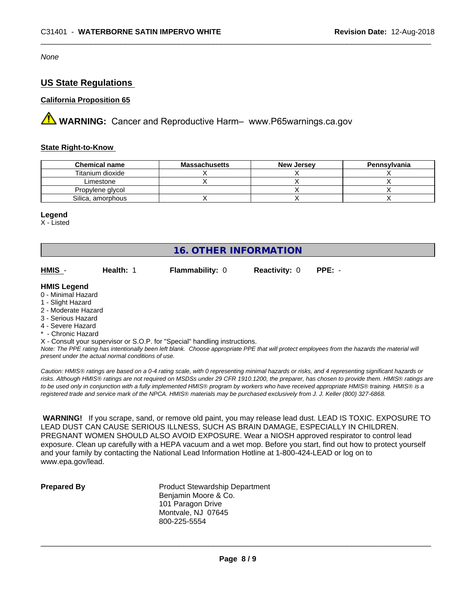*None*

### **US State Regulations**

### **California Proposition 65**

**AVIMARNING:** Cancer and Reproductive Harm– www.P65warnings.ca.gov

### **State Right-to-Know**

| <b>Chemical name</b> | <b>Massachusetts</b> | <b>New Jersey</b> | Pennsylvania |
|----------------------|----------------------|-------------------|--------------|
| Titanium dioxide     |                      |                   |              |
| Limestone            |                      |                   |              |
| Propylene glycol     |                      |                   |              |
| Silica, amorphous    |                      |                   |              |

### **Legend**

X - Listed

### **16. OTHER INFORMATION**

| HMIS         | Health: | <b>Flammability: 0</b> | <b>Reactivity: 0</b> | $PPE: -$ |
|--------------|---------|------------------------|----------------------|----------|
| hnene I RIMH |         |                        |                      |          |

### **HMIS Legend**

- 0 Minimal Hazard
- 1 Slight Hazard
- 2 Moderate Hazard
- 3 Serious Hazard
- 4 Severe Hazard
- **Chronic Hazard**
- X Consult your supervisor or S.O.P. for "Special" handling instructions.

*Note: The PPE rating has intentionally been left blank. Choose appropriate PPE that will protect employees from the hazards the material will present under the actual normal conditions of use.*

*Caution: HMISÒ ratings are based on a 0-4 rating scale, with 0 representing minimal hazards or risks, and 4 representing significant hazards or risks. Although HMISÒ ratings are not required on MSDSs under 29 CFR 1910.1200, the preparer, has chosen to provide them. HMISÒ ratings are to be used only in conjunction with a fully implemented HMISÒ program by workers who have received appropriate HMISÒ training. HMISÒ is a registered trade and service mark of the NPCA. HMISÒ materials may be purchased exclusively from J. J. Keller (800) 327-6868.*

 **WARNING!** If you scrape, sand, or remove old paint, you may release lead dust. LEAD IS TOXIC. EXPOSURE TO LEAD DUST CAN CAUSE SERIOUS ILLNESS, SUCH AS BRAIN DAMAGE, ESPECIALLY IN CHILDREN. PREGNANT WOMEN SHOULD ALSO AVOID EXPOSURE. Wear a NIOSH approved respirator to control lead exposure. Clean up carefully with a HEPA vacuum and a wet mop. Before you start, find out how to protect yourself and your family by contacting the National Lead Information Hotline at 1-800-424-LEAD or log on to www.epa.gov/lead.

**Prepared By** Product Stewardship Department Benjamin Moore & Co. 101 Paragon Drive Montvale, NJ 07645 800-225-5554